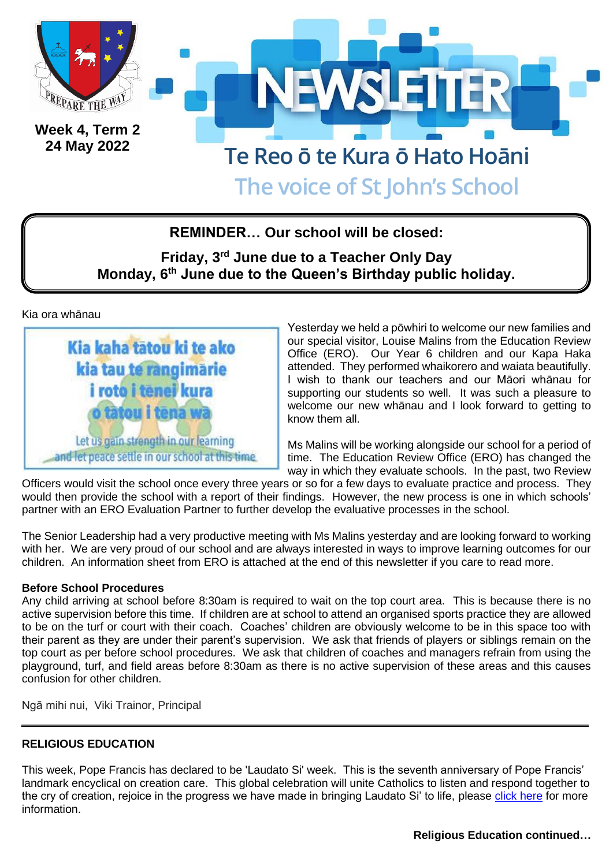

# **REMINDER… Our school will be closed:**

**Friday, 3rd June due to a Teacher Only Day Monday, 6th June due to the Queen's Birthday public holiday.**

Kia ora whānau



Yesterday we held a pōwhiri to welcome our new families and our special visitor, Louise Malins from the Education Review Office (ERO). Our Year 6 children and our Kapa Haka attended. They performed whaikorero and waiata beautifully. I wish to thank our teachers and our Māori whānau for supporting our students so well. It was such a pleasure to welcome our new whānau and I look forward to getting to know them all.

Ms Malins will be working alongside our school for a period of time. The Education Review Office (ERO) has changed the way in which they evaluate schools. In the past, two Review

Officers would visit the school once every three years or so for a few days to evaluate practice and process. They would then provide the school with a report of their findings. However, the new process is one in which schools' partner with an ERO Evaluation Partner to further develop the evaluative processes in the school.

The Senior Leadership had a very productive meeting with Ms Malins yesterday and are looking forward to working with her. We are very proud of our school and are always interested in ways to improve learning outcomes for our children. An information sheet from ERO is attached at the end of this newsletter if you care to read more.

#### **Before School Procedures**

Any child arriving at school before 8:30am is required to wait on the top court area. This is because there is no active supervision before this time. If children are at school to attend an organised sports practice they are allowed to be on the turf or court with their coach. Coaches' children are obviously welcome to be in this space too with their parent as they are under their parent's supervision. We ask that friends of players or siblings remain on the top court as per before school procedures. We ask that children of coaches and managers refrain from using the playground, turf, and field areas before 8:30am as there is no active supervision of these areas and this causes confusion for other children.

Ngā mihi nui, Viki Trainor, Principal

# **RELIGIOUS EDUCATION**

This week, Pope Francis has declared to be 'Laudato Si' week. This is the seventh anniversary of Pope Francis' landmark encyclical on creation care. This global celebration will unite Catholics to listen and respond together to the cry of creation, rejoice in the progress we have made in bringing Laudato Si' to life, please [click here](https://laudatosiweek.org/) for more information.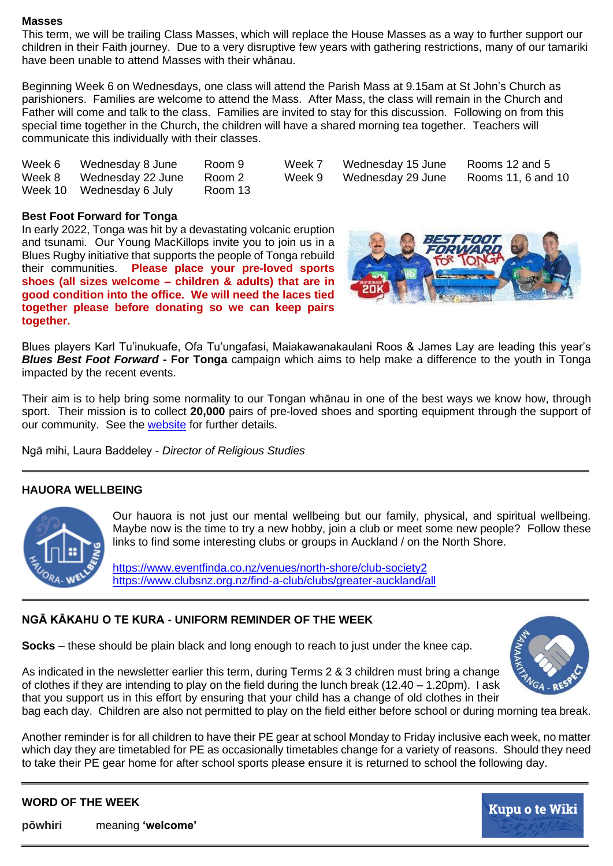#### **Masses**

This term, we will be trailing Class Masses, which will replace the House Masses as a way to further support our children in their Faith journey. Due to a very disruptive few years with gathering restrictions, many of our tamariki have been unable to attend Masses with their whānau.

Beginning Week 6 on Wednesdays, one class will attend the Parish Mass at 9.15am at St John's Church as parishioners. Families are welcome to attend the Mass. After Mass, the class will remain in the Church and Father will come and talk to the class. Families are invited to stay for this discussion. Following on from this special time together in the Church, the children will have a shared morning tea together. Teachers will communicate this individually with their classes.

| Week 6 | Wednesday 8 June         | Room 9  | Week 7 | Wednesday 15 June | Rooms 12 and 5     |
|--------|--------------------------|---------|--------|-------------------|--------------------|
| Week 8 | Wednesday 22 June        | Room 2  | Week 9 | Wednesday 29 June | Rooms 11, 6 and 10 |
|        | Week 10 Wednesday 6 July | Room 13 |        |                   |                    |

#### **Best Foot Forward for Tonga**

In early 2022, Tonga was hit by a devastating volcanic eruption and tsunami. Our Young MacKillops invite you to join us in a Blues Rugby initiative that supports the people of Tonga rebuild their communities. **Please place your pre-loved sports shoes (all sizes welcome – children & adults) that are in good condition into the office. We will need the laces tied together please before donating so we can keep pairs together.**



Blues players Karl Tu'inukuafe, Ofa Tu'ungafasi, Maiakawanakaulani Roos & James Lay are leading this year's *Blues Best Foot Forward* **- For Tonga** campaign which aims to help make a difference to the youth in Tonga impacted by the recent events.

Their aim is to help bring some normality to our Tongan whānau in one of the best ways we know how, through sport. Their mission is to collect **20,000** pairs of pre-loved shoes and sporting equipment through the support of our community. See the [website](https://www.blues.rugby/bff-for-tonga) for further details.

Ngā mihi, Laura Baddeley - *Director of Religious Studies*

#### **HAUORA WELLBEING**



Our hauora is not just our mental wellbeing but our family, physical, and spiritual wellbeing. Maybe now is the time to try a new hobby, join a club or meet some new people? Follow these links to find some interesting clubs or groups in Auckland / on the North Shore.

<https://www.eventfinda.co.nz/venues/north-shore/club-society2> <https://www.clubsnz.org.nz/find-a-club/clubs/greater-auckland/all>

#### **NGĀ KĀKAHU O TE KURA** *-* **UNIFORM REMINDER OF THE WEEK**

**Socks** – these should be plain black and long enough to reach to just under the knee cap.

As indicated in the newsletter earlier this term, during Terms 2 & 3 children must bring a change of clothes if they are intending to play on the field during the lunch break (12.40 – 1.20pm). I ask that you support us in this effort by ensuring that your child has a change of old clothes in their



bag each day. Children are also not permitted to play on the field either before school or during morning tea break.

Another reminder is for all children to have their PE gear at school Monday to Friday inclusive each week, no matter which day they are timetabled for PE as occasionally timetables change for a variety of reasons. Should they need to take their PE gear home for after school sports please ensure it is returned to school the following day.

# **WORD OF THE WEEK**

**pōwhiri** meaning **'welcome'**

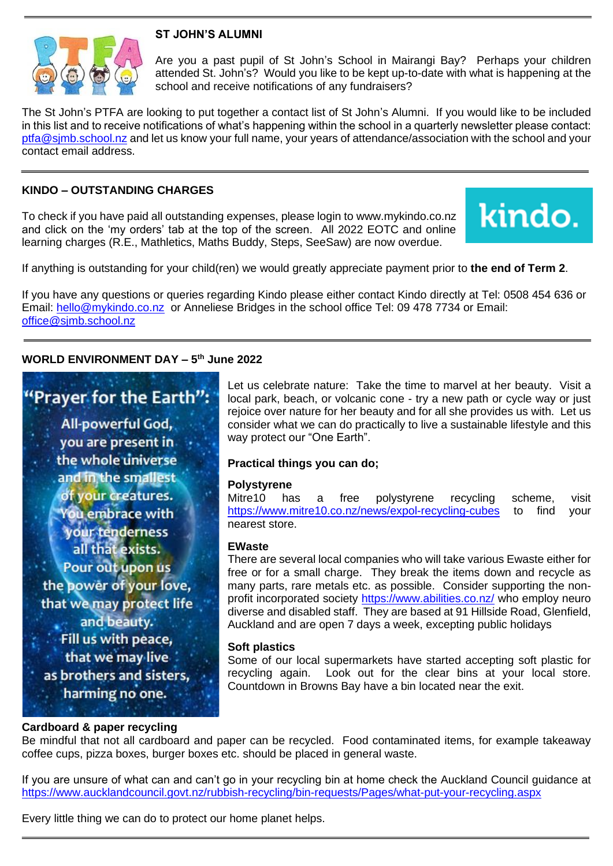

### **ST JOHN'S ALUMNI**

Are you a past pupil of St John's School in Mairangi Bay? Perhaps your children attended St. John's? Would you like to be kept up-to-date with what is happening at the school and receive notifications of any fundraisers?

The St John's PTFA are looking to put together a contact list of St John's Alumni. If you would like to be included in this list and to receive notifications of what's happening within the school in a quarterly newsletter please contact: [ptfa@sjmb.school.nz](mailto:ptfa@sjmb.school.nz) and let us know your full name, your years of attendance/association with the school and your contact email address.

### **KINDO – OUTSTANDING CHARGES**

To check if you have paid all outstanding expenses, please login to [www.mykindo.co.nz](http://www.mykindo.co.nz/) and click on the 'my orders' tab at the top of the screen. All 2022 EOTC and online learning charges (R.E., Mathletics, Maths Buddy, Steps, SeeSaw) are now overdue.



If anything is outstanding for your child(ren) we would greatly appreciate payment prior to **the end of Term 2**.

If you have any questions or queries regarding Kindo please either contact Kindo directly at Tel: 0508 454 636 or Email: [hello@mykindo.co.nz](mailto:hello@mykindo.co.nz) or Anneliese Bridges in the school office Tel: 09 478 7734 or Email: [office@sjmb.school.nz](mailto:office@sjmb.school.nz)

### **WORLD ENVIRONMENT DAY – 5 th June 2022**

# 'Prayer for the Earth":

All-powerful God, you are present in the whole universe and in the smallest of your creatures. You embrace with your tenderness all that exists. Pour out upon us the power of your love, that we may protect life and beauty. Fill us with peace, that we may live as brothers and sisters, harming no one.

Let us celebrate nature: Take the time to marvel at her beauty. Visit a local park, beach, or volcanic cone - try a new path or cycle way or just rejoice over nature for her beauty and for all she provides us with. Let us consider what we can do practically to live a sustainable lifestyle and this way protect our "One Earth".

# **Practical things you can do;**

#### **Polystyrene**

Mitre10 has a free polystyrene recycling scheme, visit <https://www.mitre10.co.nz/news/expol-recycling-cubes> to find your nearest store.

#### **EWaste**

There are several local companies who will take various Ewaste either for free or for a small charge. They break the items down and recycle as many parts, rare metals etc. as possible. Consider supporting the nonprofit incorporated society<https://www.abilities.co.nz/> who employ neuro diverse and disabled staff. They are based at 91 Hillside Road, Glenfield, Auckland and are open 7 days a week, excepting public holidays

#### **Soft plastics**

Some of our local supermarkets have started accepting soft plastic for recycling again. Look out for the clear bins at your local store. Countdown in Browns Bay have a bin located near the exit.

#### **Cardboard & paper recycling**

Be mindful that not all cardboard and paper can be recycled. Food contaminated items, for example takeaway coffee cups, pizza boxes, burger boxes etc. should be placed in general waste.

If you are unsure of what can and can't go in your recycling bin at home check the Auckland Council guidance at <https://www.aucklandcouncil.govt.nz/rubbish-recycling/bin-requests/Pages/what-put-your-recycling.aspx>

Every little thing we can do to protect our home planet helps.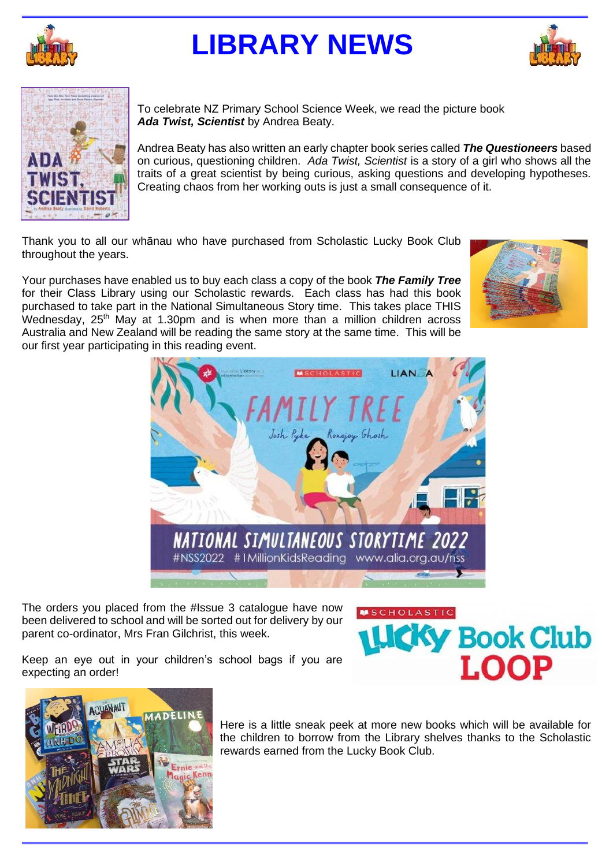

# **LIBRARY NEWS**





To celebrate NZ Primary School Science Week, we read the picture book *Ada Twist, Scientist* by Andrea Beaty.

Andrea Beaty has also written an early chapter book series called *The Questioneers* based on curious, questioning children. *Ada Twist, Scientist* is a story of a girl who shows all the traits of a great scientist by being curious, asking questions and developing hypotheses. Creating chaos from her working outs is just a small consequence of it.

Thank you to all our whānau who have purchased from Scholastic Lucky Book Club throughout the years.

Your purchases have enabled us to buy each class a copy of the book *The Family Tree* for their Class Library using our Scholastic rewards. Each class has had this book purchased to take part in the National Simultaneous Story time. This takes place THIS Wednesday, 25<sup>th</sup> May at 1.30pm and is when more than a million children across Australia and New Zealand will be reading the same story at the same time. This will be our first year participating in this reading event.





The orders you placed from the #Issue 3 catalogue have now been delivered to school and will be sorted out for delivery by our parent co-ordinator, Mrs Fran Gilchrist, this week.

Keep an eye out in your children's school bags if you are expecting an order!

# **SCHOLASTIC Book Club**



Here is a little sneak peek at more new books which will be available for the children to borrow from the Library shelves thanks to the Scholastic rewards earned from the Lucky Book Club.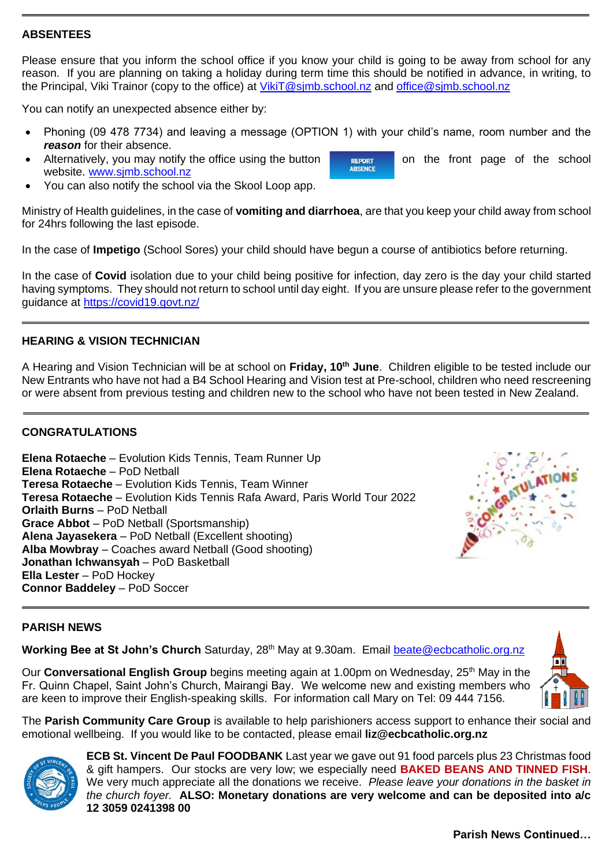#### **ABSENTEES**

Please ensure that you inform the school office if you know your child is going to be away from school for any reason. If you are planning on taking a holiday during term time this should be notified in advance, in writing, to the Principal, Viki Trainor (copy to the office) at VikiT@simb.school.nz and office@simb.school.nz

You can notify an unexpected absence either by:

- Phoning (09 478 7734) and leaving a message (OPTION 1) with your child's name, room number and the *reason* for their absence.
- Alternatively, you may notify the office using the button **of the sense the front page of the school** website. [www.sjmb.school.nz](http://www.sjmb.school.nz/)
- You can also notify the school via the Skool Loop app.

Ministry of Health guidelines, in the case of **vomiting and diarrhoea**, are that you keep your child away from school for 24hrs following the last episode.

In the case of **Impetigo** (School Sores) your child should have begun a course of antibiotics before returning.

In the case of **Covid** isolation due to your child being positive for infection, day zero is the day your child started having symptoms. They should not return to school until day eight. If you are unsure please refer to the government guidance at<https://covid19.govt.nz/>

### **HEARING & VISION TECHNICIAN**

A Hearing and Vision Technician will be at school on **Friday, 10th June**. Children eligible to be tested include our New Entrants who have not had a B4 School Hearing and Vision test at Pre-school, children who need rescreening or were absent from previous testing and children new to the school who have not been tested in New Zealand.

#### **CONGRATULATIONS**

**Elena Rotaeche** – Evolution Kids Tennis, Team Runner Up **Elena Rotaeche** – PoD Netball **Teresa Rotaeche** – Evolution Kids Tennis, Team Winner **Teresa Rotaeche** – Evolution Kids Tennis Rafa Award, Paris World Tour 2022 **Orlaith Burns** – PoD Netball **Grace Abbot** – PoD Netball (Sportsmanship) **Alena Jayasekera** – PoD Netball (Excellent shooting) **Alba Mowbray** – Coaches award Netball (Good shooting) **Jonathan Ichwansyah** – PoD Basketball **Ella Lester** – PoD Hockey **Connor Baddeley** – PoD Soccer



#### **PARISH NEWS**

**Working Bee at St John's Church** Saturday, 28<sup>th</sup> May at 9.30am. Email [beate@ecbcatholic.org.nz](mailto:beate@ecbcatholic.org.nz)

Our **Conversational English Group** begins meeting again at 1.00pm on Wednesday, 25<sup>th</sup> May in the Fr. Quinn Chapel, Saint John's Church, Mairangi Bay. We welcome new and existing members who are keen to improve their English-speaking skills. For information call Mary on Tel: 09 444 7156.



The **Parish Community Care Group** is available to help parishioners access support to enhance their social and emotional wellbeing. If you would like to be contacted, please email **liz@ecbcatholic.org.nz**



**ECB St. Vincent De Paul FOODBANK** Last year we gave out 91 food parcels plus 23 Christmas food & gift hampers. Our stocks are very low; we especially need **BAKED BEANS AND TINNED FISH**. We very much appreciate all the donations we receive. *Please leave your donations in the basket in the church foyer.* **ALSO: Monetary donations are very welcome and can be deposited into a/c 12 3059 0241398 00**